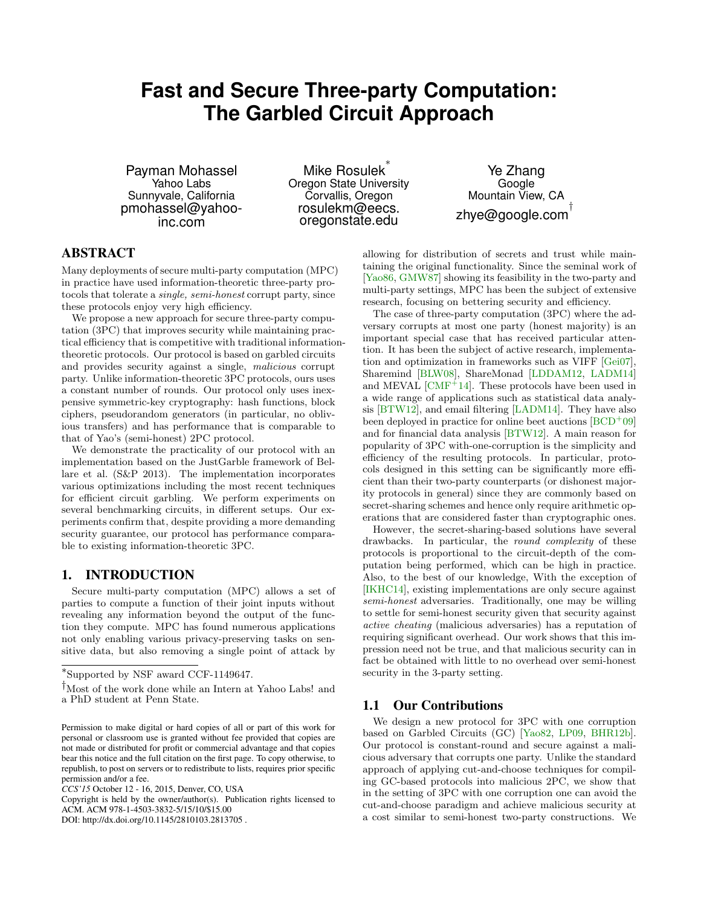# **Fast and Secure Three-party Computation: The Garbled Circuit Approach**

Payman Mohassel Yahoo Labs Sunnyvale, California pmohassel@yahooinc.com

Mike Rosulek ∗ Oregon State University Corvallis, Oregon rosulekm@eecs. oregonstate.edu

Ye Zhang Google Mountain View, CA zhye@google.com $^\dagger$ 

# ABSTRACT

Many deployments of secure multi-party computation (MPC) in practice have used information-theoretic three-party protocols that tolerate a single, semi-honest corrupt party, since these protocols enjoy very high efficiency.

We propose a new approach for secure three-party computation (3PC) that improves security while maintaining practical efficiency that is competitive with traditional informationtheoretic protocols. Our protocol is based on garbled circuits and provides security against a single, malicious corrupt party. Unlike information-theoretic 3PC protocols, ours uses a constant number of rounds. Our protocol only uses inexpensive symmetric-key cryptography: hash functions, block ciphers, pseudorandom generators (in particular, no oblivious transfers) and has performance that is comparable to that of Yao's (semi-honest) 2PC protocol.

We demonstrate the practicality of our protocol with an implementation based on the JustGarble framework of Bellare et al. (S&P 2013). The implementation incorporates various optimizations including the most recent techniques for efficient circuit garbling. We perform experiments on several benchmarking circuits, in different setups. Our experiments confirm that, despite providing a more demanding security guarantee, our protocol has performance comparable to existing information-theoretic 3PC.

# 1. INTRODUCTION

Secure multi-party computation (MPC) allows a set of parties to compute a function of their joint inputs without revealing any information beyond the output of the function they compute. MPC has found numerous applications not only enabling various privacy-preserving tasks on sensitive data, but also removing a single point of attack by

DOI: http://dx.doi.org/10.1145/2810103.2813705 .

allowing for distribution of secrets and trust while maintaining the original functionality. Since the seminal work of [\[Yao86,](#page-11-0) [GMW87\]](#page-10-0) showing its feasibility in the two-party and multi-party settings, MPC has been the subject of extensive research, focusing on bettering security and efficiency.

The case of three-party computation (3PC) where the adversary corrupts at most one party (honest majority) is an important special case that has received particular attention. It has been the subject of active research, implementation and optimization in frameworks such as VIFF [\[Gei07\]](#page-10-1), Sharemind [\[BLW08\]](#page-9-0), ShareMonad [\[LDDAM12,](#page-10-2) [LADM14\]](#page-10-3) and MEVAL  $[CMF^+14]$  $[CMF^+14]$ . These protocols have been used in a wide range of applications such as statistical data analysis [\[BTW12\]](#page-9-1), and email filtering [\[LADM14\]](#page-10-3). They have also been deployed in practice for online beet auctions  $[BCD^+09]$  $[BCD^+09]$ and for financial data analysis [\[BTW12\]](#page-9-1). A main reason for popularity of 3PC with-one-corruption is the simplicity and efficiency of the resulting protocols. In particular, protocols designed in this setting can be significantly more efficient than their two-party counterparts (or dishonest majority protocols in general) since they are commonly based on secret-sharing schemes and hence only require arithmetic operations that are considered faster than cryptographic ones.

However, the secret-sharing-based solutions have several drawbacks. In particular, the round complexity of these protocols is proportional to the circuit-depth of the computation being performed, which can be high in practice. Also, to the best of our knowledge, With the exception of [\[IKHC14\]](#page-10-5), existing implementations are only secure against semi-honest adversaries. Traditionally, one may be willing to settle for semi-honest security given that security against active cheating (malicious adversaries) has a reputation of requiring significant overhead. Our work shows that this impression need not be true, and that malicious security can in fact be obtained with little to no overhead over semi-honest security in the 3-party setting.

### 1.1 Our Contributions

We design a new protocol for 3PC with one corruption based on Garbled Circuits (GC) [\[Yao82,](#page-11-1) [LP09,](#page-10-6) [BHR12b\]](#page-9-3). Our protocol is constant-round and secure against a malicious adversary that corrupts one party. Unlike the standard approach of applying cut-and-choose techniques for compiling GC-based protocols into malicious 2PC, we show that in the setting of 3PC with one corruption one can avoid the cut-and-choose paradigm and achieve malicious security at a cost similar to semi-honest two-party constructions. We

<sup>∗</sup> Supported by NSF award CCF-1149647.

<sup>†</sup>Most of the work done while an Intern at Yahoo Labs! and a PhD student at Penn State.

Permission to make digital or hard copies of all or part of this work for personal or classroom use is granted without fee provided that copies are not made or distributed for profit or commercial advantage and that copies bear this notice and the full citation on the first page. To copy otherwise, to republish, to post on servers or to redistribute to lists, requires prior specific permission and/or a fee.

*CCS'15* October 12 - 16, 2015, Denver, CO, USA

Copyright is held by the owner/author(s). Publication rights licensed to ACM. ACM 978-1-4503-3832-5/15/10/\$15.00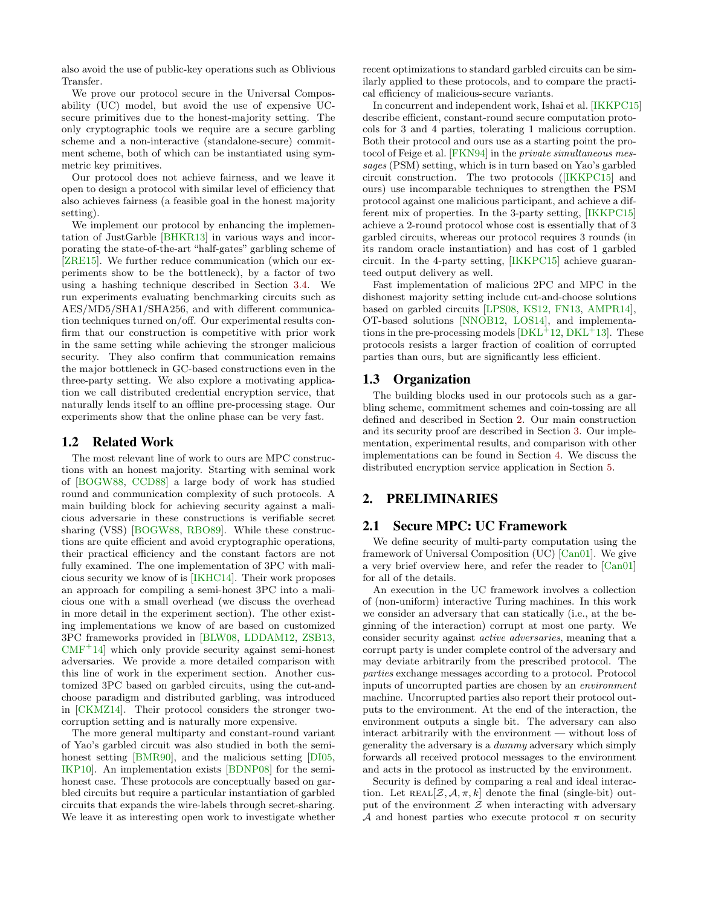also avoid the use of public-key operations such as Oblivious Transfer.

We prove our protocol secure in the Universal Composability (UC) model, but avoid the use of expensive UCsecure primitives due to the honest-majority setting. The only cryptographic tools we require are a secure garbling scheme and a non-interactive (standalone-secure) commitment scheme, both of which can be instantiated using symmetric key primitives.

Our protocol does not achieve fairness, and we leave it open to design a protocol with similar level of efficiency that also achieves fairness (a feasible goal in the honest majority setting).

We implement our protocol by enhancing the implementation of JustGarble [\[BHKR13\]](#page-9-4) in various ways and incorporating the state-of-the-art "half-gates" garbling scheme of [\[ZRE15\]](#page-11-2). We further reduce communication (which our experiments show to be the bottleneck), by a factor of two using a hashing technique described in Section [3.4.](#page-6-0) We run experiments evaluating benchmarking circuits such as AES/MD5/SHA1/SHA256, and with different communication techniques turned on/off. Our experimental results confirm that our construction is competitive with prior work in the same setting while achieving the stronger malicious security. They also confirm that communication remains the major bottleneck in GC-based constructions even in the three-party setting. We also explore a motivating application we call distributed credential encryption service, that naturally lends itself to an offline pre-processing stage. Our experiments show that the online phase can be very fast.

#### 1.2 Related Work

The most relevant line of work to ours are MPC constructions with an honest majority. Starting with seminal work of [\[BOGW88,](#page-9-5) [CCD88\]](#page-10-7) a large body of work has studied round and communication complexity of such protocols. A main building block for achieving security against a malicious adversarie in these constructions is verifiable secret sharing (VSS) [\[BOGW88,](#page-9-5) [RBO89\]](#page-11-3). While these constructions are quite efficient and avoid cryptographic operations, their practical efficiency and the constant factors are not fully examined. The one implementation of 3PC with malicious security we know of is [\[IKHC14\]](#page-10-5). Their work proposes an approach for compiling a semi-honest 3PC into a malicious one with a small overhead (we discuss the overhead in more detail in the experiment section). The other existing implementations we know of are based on customized 3PC frameworks provided in [\[BLW08,](#page-9-0) [LDDAM12,](#page-10-2) [ZSB13,](#page-11-4)  $CMF<sup>+</sup>14$  $CMF<sup>+</sup>14$ ] which only provide security against semi-honest adversaries. We provide a more detailed comparison with this line of work in the experiment section. Another customized 3PC based on garbled circuits, using the cut-andchoose paradigm and distributed garbling, was introduced in [\[CKMZ14\]](#page-10-8). Their protocol considers the stronger twocorruption setting and is naturally more expensive.

The more general multiparty and constant-round variant of Yao's garbled circuit was also studied in both the semi-honest setting [\[BMR90\]](#page-9-6), and the malicious setting [\[DI05,](#page-10-9) [IKP10\]](#page-10-10). An implementation exists [\[BDNP08\]](#page-9-7) for the semihonest case. These protocols are conceptually based on garbled circuits but require a particular instantiation of garbled circuits that expands the wire-labels through secret-sharing. We leave it as interesting open work to investigate whether recent optimizations to standard garbled circuits can be similarly applied to these protocols, and to compare the practical efficiency of malicious-secure variants.

In concurrent and independent work, Ishai et al. [\[IKKPC15\]](#page-10-11) describe efficient, constant-round secure computation protocols for 3 and 4 parties, tolerating 1 malicious corruption. Both their protocol and ours use as a starting point the protocol of Feige et al. [\[FKN94\]](#page-10-12) in the private simultaneous messages (PSM) setting, which is in turn based on Yao's garbled circuit construction. The two protocols ([\[IKKPC15\]](#page-10-11) and ours) use incomparable techniques to strengthen the PSM protocol against one malicious participant, and achieve a different mix of properties. In the 3-party setting, [\[IKKPC15\]](#page-10-11) achieve a 2-round protocol whose cost is essentially that of 3 garbled circuits, whereas our protocol requires 3 rounds (in its random oracle instantiation) and has cost of 1 garbled circuit. In the 4-party setting, [\[IKKPC15\]](#page-10-11) achieve guaranteed output delivery as well.

Fast implementation of malicious 2PC and MPC in the dishonest majority setting include cut-and-choose solutions based on garbled circuits [\[LPS08,](#page-10-13) [KS12,](#page-10-14) [FN13,](#page-10-15) [AMPR14\]](#page-9-8), OT-based solutions [\[NNOB12,](#page-11-5) [LOS14\]](#page-10-16), and implementations in the pre-processing models  $[DKL<sup>+</sup>12, DKL<sup>+</sup>13]$  $[DKL<sup>+</sup>12, DKL<sup>+</sup>13]$  $[DKL<sup>+</sup>12, DKL<sup>+</sup>13]$  $[DKL<sup>+</sup>12, DKL<sup>+</sup>13]$ . These protocols resists a larger fraction of coalition of corrupted parties than ours, but are significantly less efficient.

#### 1.3 Organization

The building blocks used in our protocols such as a garbling scheme, commitment schemes and coin-tossing are all defined and described in Section [2.](#page-1-0) Our main construction and its security proof are described in Section [3.](#page-3-0) Our implementation, experimental results, and comparison with other implementations can be found in Section [4.](#page-6-1) We discuss the distributed encryption service application in Section [5.](#page-8-0)

# <span id="page-1-0"></span>2. PRELIMINARIES

#### 2.1 Secure MPC: UC Framework

We define security of multi-party computation using the framework of Universal Composition (UC) [\[Can01\]](#page-10-19). We give a very brief overview here, and refer the reader to [\[Can01\]](#page-10-19) for all of the details.

An execution in the UC framework involves a collection of (non-uniform) interactive Turing machines. In this work we consider an adversary that can statically (i.e., at the beginning of the interaction) corrupt at most one party. We consider security against active adversaries, meaning that a corrupt party is under complete control of the adversary and may deviate arbitrarily from the prescribed protocol. The parties exchange messages according to a protocol. Protocol inputs of uncorrupted parties are chosen by an environment machine. Uncorrupted parties also report their protocol outputs to the environment. At the end of the interaction, the environment outputs a single bit. The adversary can also interact arbitrarily with the environment — without loss of generality the adversary is a dummy adversary which simply forwards all received protocol messages to the environment and acts in the protocol as instructed by the environment.

Security is defined by comparing a real and ideal interaction. Let  $REAL[\mathcal{Z}, \mathcal{A}, \pi, k]$  denote the final (single-bit) output of the environment  $\mathcal Z$  when interacting with adversary A and honest parties who execute protocol  $\pi$  on security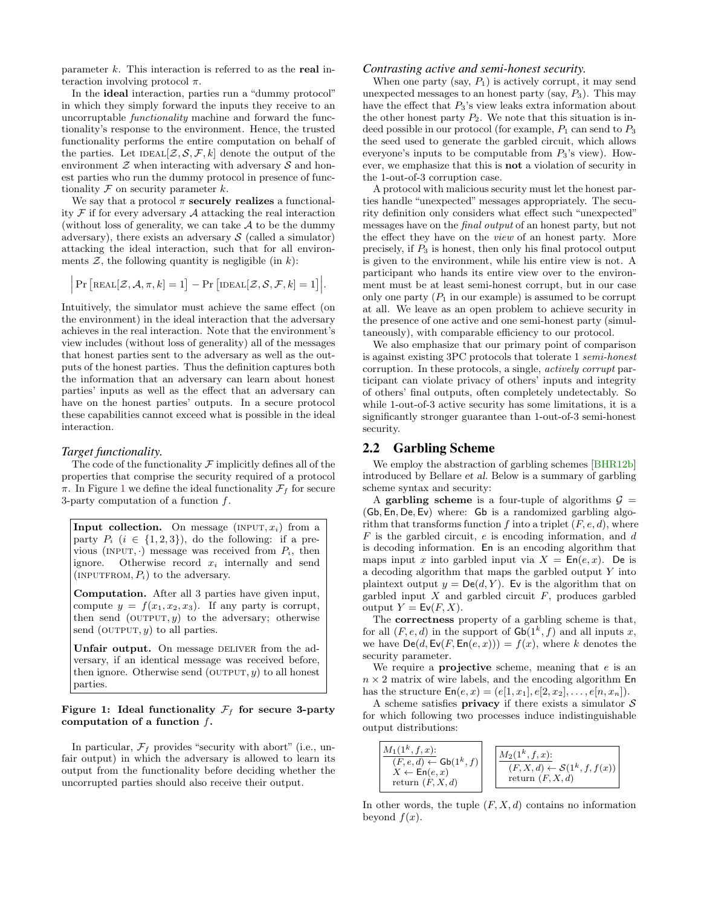parameter  $k$ . This interaction is referred to as the real interaction involving protocol  $\pi$ .

In the ideal interaction, parties run a "dummy protocol" in which they simply forward the inputs they receive to an uncorruptable functionality machine and forward the functionality's response to the environment. Hence, the trusted functionality performs the entire computation on behalf of the parties. Let  $\text{IDEAL}[\mathcal{Z}, \mathcal{S}, \mathcal{F}, k]$  denote the output of the environment  $\mathcal Z$  when interacting with adversary  $\mathcal S$  and honest parties who run the dummy protocol in presence of functionality  $F$  on security parameter  $k$ .

We say that a protocol  $\pi$  securely realizes a functionality  $\mathcal F$  if for every adversary  $\mathcal A$  attacking the real interaction (without loss of generality, we can take  $A$  to be the dummy adversary), there exists an adversary  $S$  (called a simulator) attacking the ideal interaction, such that for all environments  $\mathcal{Z}$ , the following quantity is negligible (in k):

$$
\Big|\Pr\Big[\text{Real}[\mathcal{Z},\mathcal{A},\pi,k]=1\Big]-\Pr\Big[\text{IDEal}[\mathcal{Z},\mathcal{S},\mathcal{F},k]=1\Big]\Big|.
$$

Intuitively, the simulator must achieve the same effect (on the environment) in the ideal interaction that the adversary achieves in the real interaction. Note that the environment's view includes (without loss of generality) all of the messages that honest parties sent to the adversary as well as the outputs of the honest parties. Thus the definition captures both the information that an adversary can learn about honest parties' inputs as well as the effect that an adversary can have on the honest parties' outputs. In a secure protocol these capabilities cannot exceed what is possible in the ideal interaction.

#### *Target functionality.*

The code of the functionality  $\mathcal F$  implicitly defines all of the properties that comprise the security required of a protocol  $\pi$ . In Figure [1](#page-2-0) we define the ideal functionality  $\mathcal{F}_f$  for secure 3-party computation of a function f.

Input collection. On message  $(\text{INPUT}, x_i)$  from a party  $P_i$   $(i \in \{1,2,3\})$ , do the following: if a previous (INPUT,  $\cdot$ ) message was received from  $P_i$ , then ignore. Otherwise record  $x_i$  internally and send (INPUTFROM,  $P_i$ ) to the adversary.

Computation. After all 3 parties have given input, compute  $y = f(x_1, x_2, x_3)$ . If any party is corrupt, then send (OUTPUT,  $y$ ) to the adversary; otherwise send (OUTPUT,  $y$ ) to all parties.

Unfair output. On message DELIVER from the adversary, if an identical message was received before, then ignore. Otherwise send (OUTPUT,  $y$ ) to all honest parties.

#### <span id="page-2-0"></span>Figure 1: Ideal functionality  $\mathcal{F}_f$  for secure 3-party computation of a function  $f$ .

In particular,  $\mathcal{F}_f$  provides "security with abort" (i.e., unfair output) in which the adversary is allowed to learn its output from the functionality before deciding whether the uncorrupted parties should also receive their output.

#### *Contrasting active and semi-honest security.*

When one party (say,  $P_1$ ) is actively corrupt, it may send unexpected messages to an honest party (say,  $P_3$ ). This may have the effect that  $P_3$ 's view leaks extra information about the other honest party  $P_2$ . We note that this situation is indeed possible in our protocol (for example,  $P_1$  can send to  $P_3$ ) the seed used to generate the garbled circuit, which allows everyone's inputs to be computable from  $P_3$ 's view). However, we emphasize that this is not a violation of security in the 1-out-of-3 corruption case.

A protocol with malicious security must let the honest parties handle "unexpected" messages appropriately. The security definition only considers what effect such "unexpected" messages have on the final output of an honest party, but not the effect they have on the view of an honest party. More precisely, if  $P_3$  is honest, then only his final protocol output is given to the environment, while his entire view is not. A participant who hands its entire view over to the environment must be at least semi-honest corrupt, but in our case only one party  $(P_1$  in our example) is assumed to be corrupt at all. We leave as an open problem to achieve security in the presence of one active and one semi-honest party (simultaneously), with comparable efficiency to our protocol.

We also emphasize that our primary point of comparison is against existing 3PC protocols that tolerate 1 semi-honest corruption. In these protocols, a single, actively corrupt participant can violate privacy of others' inputs and integrity of others' final outputs, often completely undetectably. So while 1-out-of-3 active security has some limitations, it is a significantly stronger guarantee than 1-out-of-3 semi-honest security.

#### <span id="page-2-1"></span>2.2 Garbling Scheme

We employ the abstraction of garbling schemes [\[BHR12b\]](#page-9-3) introduced by Bellare et al. Below is a summary of garbling scheme syntax and security:

A garbling scheme is a four-tuple of algorithms  $\mathcal{G} =$ (Gb, En, De, Ev) where: Gb is a randomized garbling algorithm that transforms function f into a triplet  $(F, e, d)$ , where F is the garbled circuit, e is encoding information, and d is decoding information. En is an encoding algorithm that maps input x into garbled input via  $X = \text{En}(e, x)$ . De is a decoding algorithm that maps the garbled output  $Y$  into plaintext output  $y = De(d, Y)$ . Ev is the algorithm that on garbled input  $X$  and garbled circuit  $F$ , produces garbled output  $Y = \text{Ev}(F, X)$ .

The correctness property of a garbling scheme is that, for all  $(F, e, d)$  in the support of  $\mathsf{Gb}(1^k, f)$  and all inputs x, we have  $\textsf{De}(d, \textsf{Ev}(F, \textsf{En}(e, x))) = f(x)$ , where k denotes the security parameter.

We require a **projective** scheme, meaning that  $e$  is an  $n \times 2$  matrix of wire labels, and the encoding algorithm  $En$ has the structure  $\mathsf{En}(e, x) = (e[1, x_1], e[2, x_2], \ldots, e[n, x_n]).$ 

A scheme satisfies **privacy** if there exists a simulator  $S$ for which following two processes induce indistinguishable output distributions:



In other words, the tuple  $(F, X, d)$  contains no information beyond  $f(x)$ .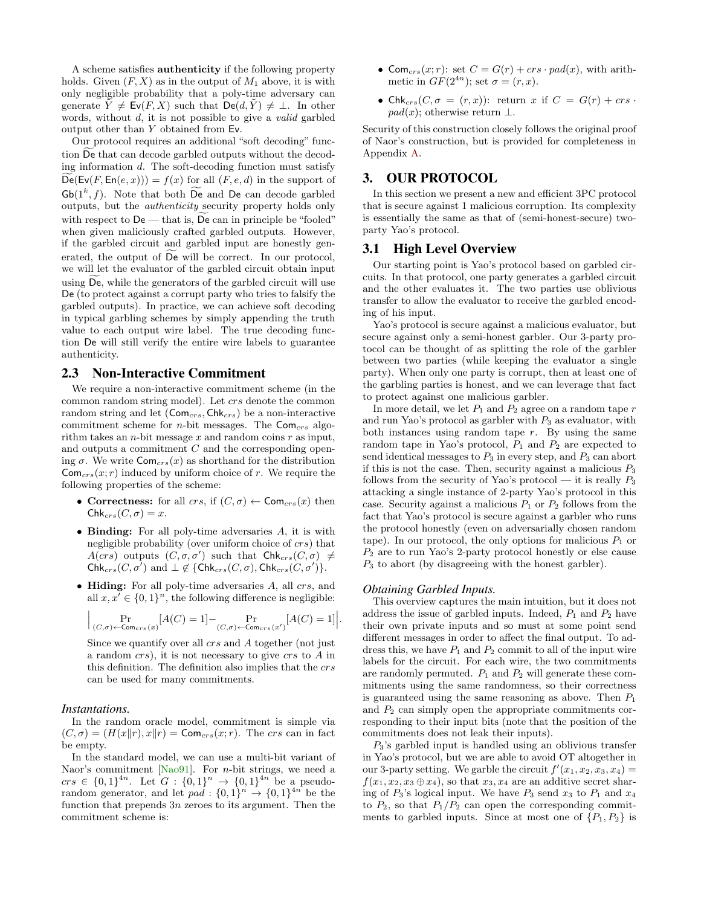A scheme satisfies authenticity if the following property holds. Given  $(F, X)$  as in the output of  $M_1$  above, it is with only negligible probability that a poly-time adversary can generate  $\tilde{Y} \neq \mathsf{Ev}(F, X)$  such that  $\mathsf{De}(d, \tilde{Y}) \neq \bot$ . In other words, without d, it is not possible to give a valid garbled output other than Y obtained from Ev.

Our protocol requires an additional "soft decoding" function De that can decode garbled outputs without the decoding information d. The soft-decoding function must satisfy  $De(Ev(F, En(e, x))) = f(x)$  for all  $(F, e, d)$  in the support of  $\mathsf{Gb}(1^k, f)$ . Note that both  $\widetilde{\mathsf{De}}$  and  $\mathsf{De}$  can decode garbled outputs, but the authenticity security property holds only with respect to  $De$  — that is,  $De$  can in principle be "fooled" when given maliciously crafted garbled outputs. However, if the garbled circuit and garbled input are honestly generated, the output of  $\widetilde{De}$  will be correct. In our protocol, we will let the evaluator of the garbled circuit obtain input using De, while the generators of the garbled circuit will use De (to protect against a corrupt party who tries to falsify the garbled outputs). In practice, we can achieve soft decoding in typical garbling schemes by simply appending the truth value to each output wire label. The true decoding function De will still verify the entire wire labels to guarantee authenticity.

#### <span id="page-3-1"></span>2.3 Non-Interactive Commitment

We require a non-interactive commitment scheme (in the common random string model). Let crs denote the common random string and let  $(Com_{crs}, Chk_{crs})$  be a non-interactive commitment scheme for *n*-bit messages. The  $Com<sub>crs</sub>$  algorithm takes an *n*-bit message x and random coins  $r$  as input, and outputs a commitment C and the corresponding opening  $\sigma$ . We write  $\textsf{Com}_{\textit{crs}}(x)$  as shorthand for the distribution  $\mathsf{Com}_{\mathit{crs}}(x;r)$  induced by uniform choice of r. We require the following properties of the scheme:

- Correctness: for all crs, if  $(C, \sigma) \leftarrow \textsf{Com}_{\textit{crs}}(x)$  then  $Chk_{crs}(C, \sigma) = x.$
- Binding: For all poly-time adversaries A, it is with negligible probability (over uniform choice of crs) that  $A(crs)$  outputs  $(C, \sigma, \sigma')$  such that  $\mathsf{Chk}_{crs}(C, \sigma) \neq 0$  $\mathsf{Chk}_{crs}(C, \sigma') \text{ and } \bot \notin \{\mathsf{Chk}_{crs}(C, \sigma), \mathsf{Chk}_{crs}(C, \sigma')\}.$
- Hiding: For all poly-time adversaries  $A$ , all  $crs$ , and all  $x, x' \in \{0, 1\}^n$ , the following difference is negligible:

$$
\Big|\Pr_{(C,\sigma)\leftarrow \text{Com}_{crs}(x)}[A(C) = 1] - \Pr_{(C,\sigma)\leftarrow \text{Com}_{crs}(x')}[A(C) = 1]\Big|.
$$

Since we quantify over all crs and A together (not just a random crs), it is not necessary to give crs to A in this definition. The definition also implies that the crs can be used for many commitments.

#### *Instantations.*

In the random oracle model, commitment is simple via  $(C, \sigma) = (H(x||r), x||r) = \text{Com}_{crs}(x; r)$ . The crs can in fact be empty.

In the standard model, we can use a multi-bit variant of Naor's commitment [\[Nao91\]](#page-11-6). For *n*-bit strings, we need a  $\text{crs } \in \{0,1\}^{4n}$ . Let  $G: \{0,1\}^n \to \{0,1\}^{4n}$  be a pseudorandom generator, and let  $pad: \{0,1\}^n \rightarrow \{0,1\}^{4n}$  be the function that prepends 3n zeroes to its argument. Then the commitment scheme is:

- Com<sub>crs</sub> $(x; r)$ : set  $C = G(r) + crs \cdot pad(x)$ , with arithmetic in  $GF(2^{4n})$ ; set  $\sigma = (r, x)$ .
- Chk<sub>crs</sub> $(C, \sigma = (r, x))$ : return x if  $C = G(r) + crs$ .  $pad(x)$ ; otherwise return  $\perp$ .

Security of this construction closely follows the original proof of Naor's construction, but is provided for completeness in Appendix [A.](#page-11-7)

# <span id="page-3-0"></span>3. OUR PROTOCOL

In this section we present a new and efficient 3PC protocol that is secure against 1 malicious corruption. Its complexity is essentially the same as that of (semi-honest-secure) twoparty Yao's protocol.

#### 3.1 High Level Overview

Our starting point is Yao's protocol based on garbled circuits. In that protocol, one party generates a garbled circuit and the other evaluates it. The two parties use oblivious transfer to allow the evaluator to receive the garbled encoding of his input.

Yao's protocol is secure against a malicious evaluator, but secure against only a semi-honest garbler. Our 3-party protocol can be thought of as splitting the role of the garbler between two parties (while keeping the evaluator a single party). When only one party is corrupt, then at least one of the garbling parties is honest, and we can leverage that fact to protect against one malicious garbler.

In more detail, we let  $P_1$  and  $P_2$  agree on a random tape  $r$ and run Yao's protocol as garbler with  $P_3$  as evaluator, with both instances using random tape  $r$ . By using the same random tape in Yao's protocol,  $P_1$  and  $P_2$  are expected to send identical messages to  $P_3$  in every step, and  $P_3$  can abort if this is not the case. Then, security against a malicious  $P_3$ follows from the security of Yao's protocol — it is really  $P_3$ attacking a single instance of 2-party Yao's protocol in this case. Security against a malicious  $P_1$  or  $P_2$  follows from the fact that Yao's protocol is secure against a garbler who runs the protocol honestly (even on adversarially chosen random tape). In our protocol, the only options for malicious  $P_1$  or  $P_2$  are to run Yao's 2-party protocol honestly or else cause  $P_3$  to abort (by disagreeing with the honest garbler).

#### *Obtaining Garbled Inputs.*

This overview captures the main intuition, but it does not address the issue of garbled inputs. Indeed,  $P_1$  and  $P_2$  have their own private inputs and so must at some point send different messages in order to affect the final output. To address this, we have  $P_1$  and  $P_2$  commit to all of the input wire labels for the circuit. For each wire, the two commitments are randomly permuted.  $P_1$  and  $P_2$  will generate these commitments using the same randomness, so their correctness is guaranteed using the same reasoning as above. Then  $P_1$ and  $P_2$  can simply open the appropriate commitments corresponding to their input bits (note that the position of the commitments does not leak their inputs).

 $P_3$ 's garbled input is handled using an oblivious transfer in Yao's protocol, but we are able to avoid OT altogether in our 3-party setting. We garble the circuit  $f'(x_1, x_2, x_3, x_4) =$  $f(x_1, x_2, x_3 \oplus x_4)$ , so that  $x_3, x_4$  are an additive secret sharing of  $P_3$ 's logical input. We have  $P_3$  send  $x_3$  to  $P_1$  and  $x_4$ to  $P_2$ , so that  $P_1/P_2$  can open the corresponding commitments to garbled inputs. Since at most one of  $\{P_1, P_2\}$  is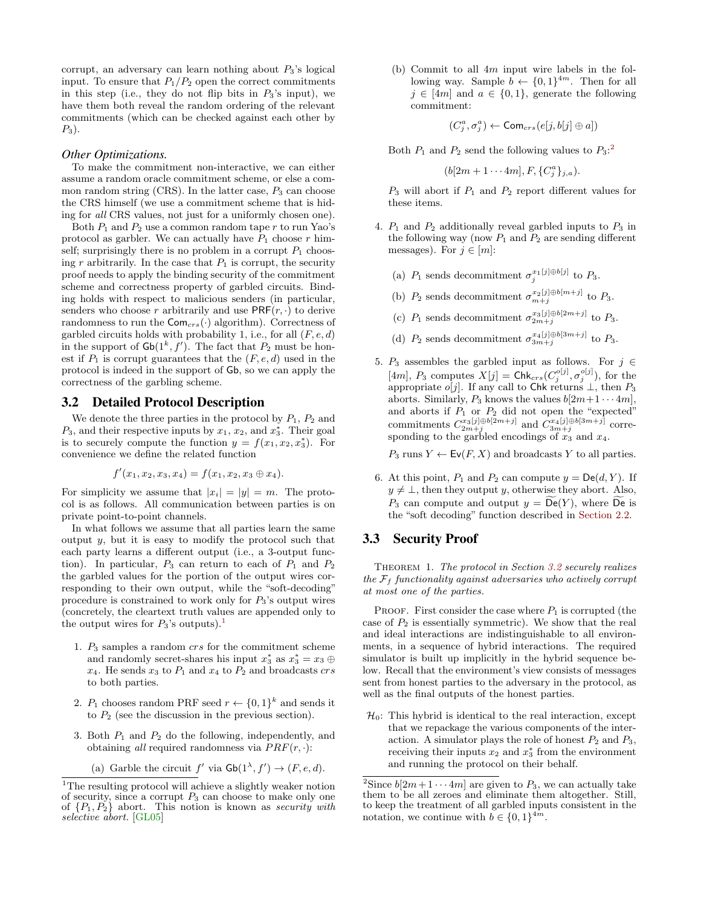corrupt, an adversary can learn nothing about  $P_3$ 's logical input. To ensure that  $P_1/P_2$  open the correct commitments in this step (i.e., they do not flip bits in  $P_3$ 's input), we have them both reveal the random ordering of the relevant commitments (which can be checked against each other by  $P_3$ ).

#### *Other Optimizations.*

To make the commitment non-interactive, we can either assume a random oracle commitment scheme, or else a common random string  $(CRS)$ . In the latter case,  $P_3$  can choose the CRS himself (we use a commitment scheme that is hiding for all CRS values, not just for a uniformly chosen one).

Both  $P_1$  and  $P_2$  use a common random tape r to run Yao's protocol as garbler. We can actually have  $P_1$  choose r himself; surprisingly there is no problem in a corrupt  $P_1$  choosing r arbitrarily. In the case that  $P_1$  is corrupt, the security proof needs to apply the binding security of the commitment scheme and correctness property of garbled circuits. Binding holds with respect to malicious senders (in particular, senders who choose r arbitrarily and use  $PRF(r, \cdot)$  to derive randomness to run the  $Com_{crs}(\cdot)$  algorithm). Correctness of garbled circuits holds with probability 1, i.e., for all  $(F, e, d)$ in the support of  $\mathsf{Gb}(1^k, f')$ . The fact that  $P_2$  must be honest if  $P_1$  is corrupt guarantees that the  $(F, e, d)$  used in the protocol is indeed in the support of Gb, so we can apply the correctness of the garbling scheme.

# <span id="page-4-2"></span>3.2 Detailed Protocol Description

We denote the three parties in the protocol by  $P_1$ ,  $P_2$  and  $P_3$ , and their respective inputs by  $x_1, x_2$ , and  $x_3^*$ . Their goal is to securely compute the function  $y = f(x_1, x_2, x_3^*)$ . For convenience we define the related function

$$
f'(x_1, x_2, x_3, x_4) = f(x_1, x_2, x_3 \oplus x_4).
$$

For simplicity we assume that  $|x_i| = |y| = m$ . The protocol is as follows. All communication between parties is on private point-to-point channels.

In what follows we assume that all parties learn the same output  $y$ , but it is easy to modify the protocol such that each party learns a different output (i.e., a 3-output function). In particular,  $P_3$  can return to each of  $P_1$  and  $P_2$ the garbled values for the portion of the output wires corresponding to their own output, while the "soft-decoding" procedure is constrained to work only for  $P_3$ 's output wires (concretely, the cleartext truth values are appended only to the output wires for  $P_3$ 's outputs).<sup>[1](#page-4-0)</sup>

- 1.  $P_3$  samples a random crs for the commitment scheme and randomly secret-shares his input  $x_3^*$  as  $x_3^* = x_3 \oplus$  $x_4$ . He sends  $x_3$  to  $P_1$  and  $x_4$  to  $P_2$  and broadcasts crs to both parties.
- 2.  $P_1$  chooses random PRF seed  $r \leftarrow \{0,1\}^k$  and sends it to  $P_2$  (see the discussion in the previous section).
- 3. Both  $P_1$  and  $P_2$  do the following, independently, and obtaining *all* required randomness via  $PRF(r, \cdot)$ :
	- (a) Garble the circuit  $f'$  via  $\mathsf{Gb}(1^{\lambda}, f') \to (F, e, d)$ .

(b) Commit to all  $4m$  input wire labels in the following way. Sample  $b \leftarrow \{0,1\}^{4m}$ . Then for all  $j \in [4m]$  and  $a \in \{0,1\}$ , generate the following commitment:

$$
(C_j^a, \sigma_j^a) \leftarrow \mathsf{Com}_\mathit{crs}(e[j, b[j] \oplus a])
$$

Both  $P_1$  and  $P_2$  $P_2$  send the following values to  $P_3$ :<sup>2</sup>

$$
(b[2m+1\cdots 4m], F, \{C_j^a\}_{j,a}).
$$

 $P_3$  will abort if  $P_1$  and  $P_2$  report different values for these items.

- 4.  $P_1$  and  $P_2$  additionally reveal garbled inputs to  $P_3$  in the following way (now  $P_1$  and  $P_2$  are sending different messages). For  $j \in [m]$ :
	- (a)  $P_1$  sends decommitment  $\sigma_j^{x_1[j] \oplus b[j]}$  to  $P_3$ .
	- (b)  $P_2$  sends decommitment  $\sigma_{m+j}^{x_2[j] \oplus b[m+j]}$  to  $P_3$ .
	- (c)  $P_1$  sends decommitment  $\sigma_{2m+j}^{x_3[j]\oplus b[2m+j]}$  to  $P_3$ .
	- (d)  $P_2$  sends decommitment  $\sigma_{3m+j}^{x_4[j]\oplus b[3m+j]}$  to  $P_3$ .
- 5. P<sub>3</sub> assembles the garbled input as follows. For  $j \in$ [4m],  $P_3$  computes  $X[j] = \mathsf{Chk}_{crs}(C_j^{o[j]}, \sigma_j^{o[j]})$ , for the appropriate  $o[j]$ . If any call to Chk returns  $\perp$ , then  $P_3$ aborts. Similarly,  $P_3$  knows the values  $b[2m+1\cdots 4m],$ and aborts if  $P_1$  or  $P_2$  did not open the "expected" commitments  $C_{2m+j}^{x_3[j]\oplus b[2m+j]}$  and  $C_{3m+j}^{x_4[j]\oplus b[3m+j]}$  corresponding to the garbled encodings of  $x_3$  and  $x_4$ .

 $P_3$  runs  $Y \leftarrow \mathsf{Ev}(F, X)$  and broadcasts Y to all parties.

6. At this point,  $P_1$  and  $P_2$  can compute  $y = \mathsf{De}(d, Y)$ . If  $y \neq \bot$ , then they output y, otherwise they abort. Also,  $P_3$  can compute and output  $y = De(Y)$ , where De is the "soft decoding" function described in [Section 2.2.](#page-2-1)

### 3.3 Security Proof

THEOREM 1. The protocol in Section [3.2](#page-4-2) securely realizes the  $\mathcal{F}_f$  functionality against adversaries who actively corrupt at most one of the parties.

PROOF. First consider the case where  $P_1$  is corrupted (the case of  $P_2$  is essentially symmetric). We show that the real and ideal interactions are indistinguishable to all environments, in a sequence of hybrid interactions. The required simulator is built up implicitly in the hybrid sequence below. Recall that the environment's view consists of messages sent from honest parties to the adversary in the protocol, as well as the final outputs of the honest parties.

 $\mathcal{H}_0$ : This hybrid is identical to the real interaction, except that we repackage the various components of the interaction. A simulator plays the role of honest  $P_2$  and  $P_3$ , receiving their inputs  $x_2$  and  $x_3^*$  from the environment and running the protocol on their behalf.

<span id="page-4-0"></span> $^1\rm{The}$  resulting protocol will achieve a slightly weaker notion of security, since a corrupt  $P_3$  can choose to make only one of  $\{P_1, P_2\}$  abort. This notion is known as security with selective abort. [\[GL05\]](#page-10-20)

<span id="page-4-1"></span><sup>&</sup>lt;sup>2</sup>Since  $b[2m+1\cdots 4m]$  are given to  $P_3$ , we can actually take them to be all zeroes and eliminate them altogether. Still, to keep the treatment of all garbled inputs consistent in the notation, we continue with  $b \in \{0,1\}^{4m}$ .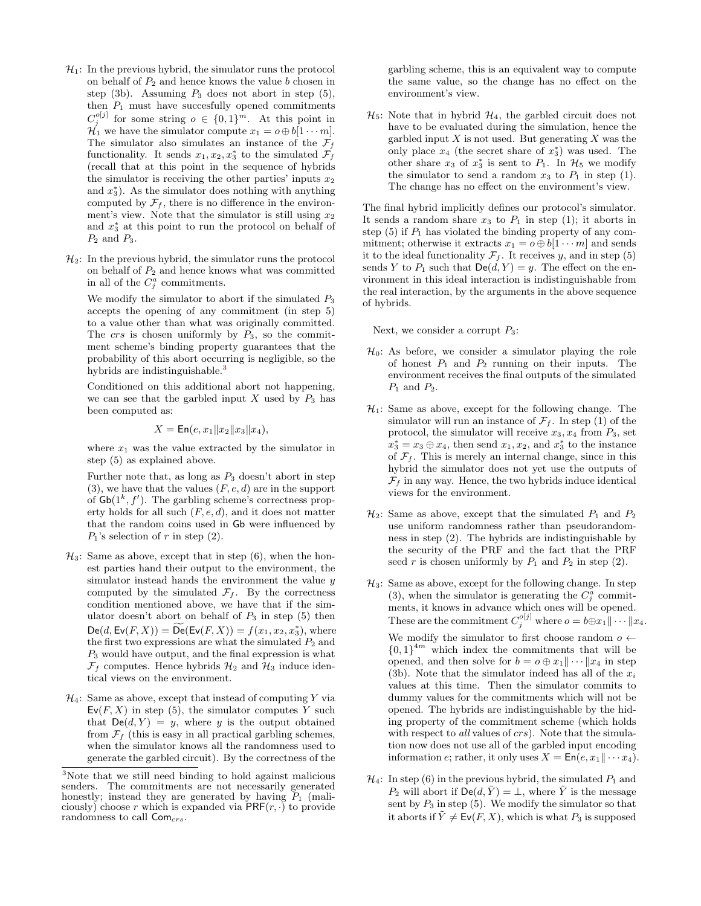- $\mathcal{H}_1$ : In the previous hybrid, the simulator runs the protocol on behalf of  $P_2$  and hence knows the value b chosen in step (3b). Assuming  $P_3$  does not abort in step (5), then  $P_1$  must have succesfully opened commitments  $C_j^{\circ[j]}$  for some string  $o \in \{0,1\}^m$ . At this point in  $\mathcal{H}_1$  we have the simulator compute  $x_1 = o \oplus b[1 \cdots m]$ . The simulator also simulates an instance of the  $\mathcal{F}_f$ functionality. It sends  $x_1, x_2, x_3^*$  to the simulated  $\mathcal{F}_f$ (recall that at this point in the sequence of hybrids the simulator is receiving the other parties' inputs  $x_2$ and  $x_3^*$ ). As the simulator does nothing with anything computed by  $\mathcal{F}_f$ , there is no difference in the environment's view. Note that the simulator is still using  $x_2$ and  $x_3^*$  at this point to run the protocol on behalf of  $P_2$  and  $P_3$ .
- $\mathcal{H}_2$ : In the previous hybrid, the simulator runs the protocol on behalf of  $P_2$  and hence knows what was committed in all of the  $C_j^a$  commitments.

We modify the simulator to abort if the simulated  $P_3$ accepts the opening of any commitment (in step 5) to a value other than what was originally committed. The crs is chosen uniformly by  $P_3$ , so the commitment scheme's binding property guarantees that the probability of this abort occurring is negligible, so the hybrids are indistinguishable.<sup>[3](#page-5-0)</sup>

Conditioned on this additional abort not happening, we can see that the garbled input  $X$  used by  $P_3$  has been computed as:

$$
X = \mathsf{En}(e, x_1 \| x_2 \| x_3 \| x_4),
$$

where  $x_1$  was the value extracted by the simulator in step (5) as explained above.

Further note that, as long as  $P_3$  doesn't abort in step (3), we have that the values  $(F, e, d)$  are in the support of  $\mathsf{Gb}(1^k, f')$ . The garbling scheme's correctness property holds for all such  $(F, e, d)$ , and it does not matter that the random coins used in Gb were influenced by  $P_1$ 's selection of r in step  $(2)$ .

- $\mathcal{H}_3$ : Same as above, except that in step (6), when the honest parties hand their output to the environment, the simulator instead hands the environment the value  $y$ computed by the simulated  $\mathcal{F}_f$ . By the correctness condition mentioned above, we have that if the simulator doesn't abort on behalf of  $P_3$  in step (5) then  $\mathsf{De}(d, \mathsf{Ev}(F, X)) = \widetilde{\mathsf{De}}(\mathsf{Ev}(F, X)) = f(x_1, x_2, x_3^*),$  where the first two expressions are what the simulated  $P_2$  and  $P_3$  would have output, and the final expression is what  $\mathcal{F}_f$  computes. Hence hybrids  $\mathcal{H}_2$  and  $\mathcal{H}_3$  induce identical views on the environment.
- $\mathcal{H}_4$ : Same as above, except that instead of computing Y via  $Ev(F, X)$  in step (5), the simulator computes Y such that  $\textsf{De}(d, Y) = y$ , where y is the output obtained from  $\mathcal{F}_f$  (this is easy in all practical garbling schemes, when the simulator knows all the randomness used to generate the garbled circuit). By the correctness of the

garbling scheme, this is an equivalent way to compute the same value, so the change has no effect on the environment's view.

 $\mathcal{H}_5$ : Note that in hybrid  $\mathcal{H}_4$ , the garbled circuit does not have to be evaluated during the simulation, hence the garbled input  $X$  is not used. But generating  $X$  was the only place  $x_4$  (the secret share of  $x_3^*$ ) was used. The other share  $x_3$  of  $x_3^*$  is sent to  $P_1$ . In  $\mathcal{H}_5$  we modify the simulator to send a random  $x_3$  to  $P_1$  in step (1). The change has no effect on the environment's view.

The final hybrid implicitly defines our protocol's simulator. It sends a random share  $x_3$  to  $P_1$  in step (1); it aborts in step  $(5)$  if  $P_1$  has violated the binding property of any commitment; otherwise it extracts  $x_1 = o \oplus b[1 \cdots m]$  and sends it to the ideal functionality  $\mathcal{F}_f$ . It receives y, and in step (5) sends Y to  $P_1$  such that  $\mathsf{De}(d, Y) = y$ . The effect on the environment in this ideal interaction is indistinguishable from the real interaction, by the arguments in the above sequence of hybrids.

Next, we consider a corrupt  $P_3$ :

- $\mathcal{H}_0$ : As before, we consider a simulator playing the role of honest  $P_1$  and  $P_2$  running on their inputs. The environment receives the final outputs of the simulated  $P_1$  and  $P_2$ .
- $\mathcal{H}_1$ : Same as above, except for the following change. The simulator will run an instance of  $\mathcal{F}_f$ . In step (1) of the protocol, the simulator will receive  $x_3, x_4$  from  $P_3$ , set  $x_3^* = x_3 \oplus x_4$ , then send  $x_1, x_2$ , and  $x_3^*$  to the instance of  $\mathcal{F}_f$ . This is merely an internal change, since in this hybrid the simulator does not yet use the outputs of  $\mathcal{F}_f$  in any way. Hence, the two hybrids induce identical views for the environment.
- $\mathcal{H}_2$ : Same as above, except that the simulated  $P_1$  and  $P_2$ use uniform randomness rather than pseudorandomness in step (2). The hybrids are indistinguishable by the security of the PRF and the fact that the PRF seed r is chosen uniformly by  $P_1$  and  $P_2$  in step (2).
- $\mathcal{H}_3$ : Same as above, except for the following change. In step (3), when the simulator is generating the  $C_j^a$  commitments, it knows in advance which ones will be opened. These are the commitment  $C_j^{o[j]}$  where  $o = b \oplus x_1 || \cdots || x_4$ . We modify the simulator to first choose random  $o \leftarrow$  ${0,1}^{4m}$  which index the commitments that will be opened, and then solve for  $b = o \oplus x_1 || \cdots || x_4$  in step (3b). Note that the simulator indeed has all of the  $x_i$ values at this time. Then the simulator commits to dummy values for the commitments which will not be opened. The hybrids are indistinguishable by the hiding property of the commitment scheme (which holds with respect to *all* values of *crs*). Note that the simulation now does not use all of the garbled input encoding information e; rather, it only uses  $X = \textsf{En}(e, x_1 \| \cdots x_4)$ .
- $\mathcal{H}_4$ : In step (6) in the previous hybrid, the simulated  $P_1$  and  $P_2$  will abort if  $\mathsf{De}(d, \tilde{Y}) = \perp$ , where  $\tilde{Y}$  is the message sent by  $P_3$  in step (5). We modify the simulator so that it aborts if  $\tilde{Y} \neq \text{Ev}(F, X)$ , which is what  $P_3$  is supposed

<span id="page-5-0"></span><sup>3</sup>Note that we still need binding to hold against malicious senders. The commitments are not necessarily generated honestly; instead they are generated by having  $P_1$  (maliciously) choose r which is expanded via  $\overline{PRF}(r, \cdot)$  to provide randomness to call  $Com_{crs}$ .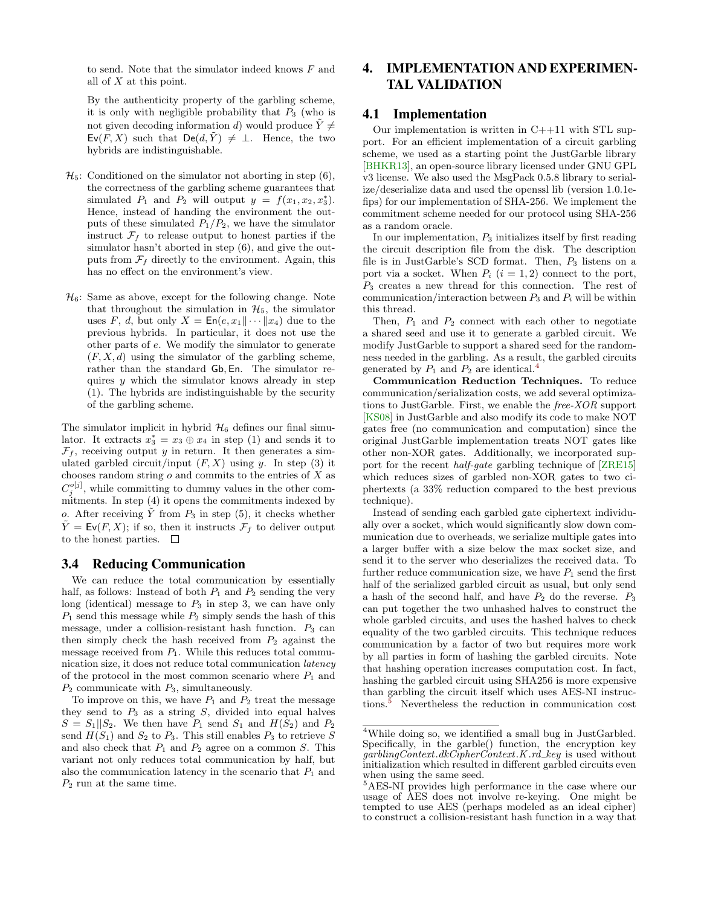to send. Note that the simulator indeed knows F and all of X at this point.

By the authenticity property of the garbling scheme, it is only with negligible probability that  $P_3$  (who is not given decoding information d) would produce  $\tilde{Y} \neq$  $\mathsf{Ev}(F, X)$  such that  $\mathsf{De}(d, \tilde{Y}) \neq \bot$ . Hence, the two hybrids are indistinguishable.

- $\mathcal{H}_5$ : Conditioned on the simulator not aborting in step (6), the correctness of the garbling scheme guarantees that simulated  $P_1$  and  $P_2$  will output  $y = f(x_1, x_2, x_3^*)$ . Hence, instead of handing the environment the outputs of these simulated  $P_1/P_2$ , we have the simulator instruct  $\mathcal{F}_f$  to release output to honest parties if the simulator hasn't aborted in step  $(6)$ , and give the outputs from  $\mathcal{F}_f$  directly to the environment. Again, this has no effect on the environment's view.
- $\mathcal{H}_6$ : Same as above, except for the following change. Note that throughout the simulation in  $\mathcal{H}_5$ , the simulator uses F, d, but only  $X = \mathsf{En}(e, x_1 \| \cdots \| x_4)$  due to the previous hybrids. In particular, it does not use the other parts of e. We modify the simulator to generate  $(F, X, d)$  using the simulator of the garbling scheme, rather than the standard Gb, En. The simulator requires  $\psi$  which the simulator knows already in step (1). The hybrids are indistinguishable by the security of the garbling scheme.

The simulator implicit in hybrid  $H_6$  defines our final simulator. It extracts  $x_3^* = x_3 \oplus x_4$  in step (1) and sends it to  $\mathcal{F}_f$ , receiving output y in return. It then generates a simulated garbled circuit/input  $(F, X)$  using y. In step (3) it chooses random string  $o$  and commits to the entries of  $X$  as  $C_j^{\circ[j]}$ , while committing to dummy values in the other commitments. In step (4) it opens the commitments indexed by o. After receiving  $\overline{Y}$  from  $P_3$  in step (5), it checks whether  $\tilde{Y} = \mathsf{Ev}(F, X);$  if so, then it instructs  $\mathcal{F}_f$  to deliver output to the honest parties.  $\Box$ 

#### <span id="page-6-0"></span>3.4 Reducing Communication

We can reduce the total communication by essentially half, as follows: Instead of both  $P_1$  and  $P_2$  sending the very long (identical) message to  $P_3$  in step 3, we can have only  $P_1$  send this message while  $P_2$  simply sends the hash of this message, under a collision-resistant hash function.  $P_3$  can then simply check the hash received from  $P_2$  against the message received from  $P_1$ . While this reduces total communication size, it does not reduce total communication latency of the protocol in the most common scenario where  $P_1$  and  $P_2$  communicate with  $P_3$ , simultaneously.

To improve on this, we have  $P_1$  and  $P_2$  treat the message they send to  $P_3$  as a string  $S$ , divided into equal halves  $S = S_1||S_2$ . We then have  $P_1$  send  $S_1$  and  $H(S_2)$  and  $P_2$ send  $H(S_1)$  and  $S_2$  to  $P_3$ . This still enables  $P_3$  to retrieve S and also check that  $P_1$  and  $P_2$  agree on a common S. This variant not only reduces total communication by half, but also the communication latency in the scenario that  $P_1$  and  $P_2$  run at the same time.

# <span id="page-6-1"></span>4. IMPLEMENTATION AND EXPERIMEN-TAL VALIDATION

### 4.1 Implementation

Our implementation is written in  $C++11$  with STL support. For an efficient implementation of a circuit garbling scheme, we used as a starting point the JustGarble library [\[BHKR13\]](#page-9-4), an open-source library licensed under GNU GPL v3 license. We also used the MsgPack 0.5.8 library to serialize/deserialize data and used the openssl lib (version 1.0.1efips) for our implementation of SHA-256. We implement the commitment scheme needed for our protocol using SHA-256 as a random oracle.

In our implementation,  $P_3$  initializes itself by first reading the circuit description file from the disk. The description file is in JustGarble's SCD format. Then,  $P_3$  listens on a port via a socket. When  $P_i$   $(i = 1, 2)$  connect to the port,  $P_3$  creates a new thread for this connection. The rest of communication/interaction between  $P_3$  and  $P_i$  will be within this thread.

Then,  $P_1$  and  $P_2$  connect with each other to negotiate a shared seed and use it to generate a garbled circuit. We modify JustGarble to support a shared seed for the randomness needed in the garbling. As a result, the garbled circuits generated by  $P_1$  and  $P_2$  are identical.<sup>[4](#page-6-2)</sup>

Communication Reduction Techniques. To reduce communication/serialization costs, we add several optimizations to JustGarble. First, we enable the free-XOR support [\[KS08\]](#page-10-21) in JustGarble and also modify its code to make NOT gates free (no communication and computation) since the original JustGarble implementation treats NOT gates like other non-XOR gates. Additionally, we incorporated support for the recent half-gate garbling technique of [\[ZRE15\]](#page-11-2) which reduces sizes of garbled non-XOR gates to two ciphertexts (a 33% reduction compared to the best previous technique).

Instead of sending each garbled gate ciphertext individually over a socket, which would significantly slow down communication due to overheads, we serialize multiple gates into a larger buffer with a size below the max socket size, and send it to the server who deserializes the received data. To further reduce communication size, we have  $P_1$  send the first half of the serialized garbled circuit as usual, but only send a hash of the second half, and have  $P_2$  do the reverse.  $P_3$ can put together the two unhashed halves to construct the whole garbled circuits, and uses the hashed halves to check equality of the two garbled circuits. This technique reduces communication by a factor of two but requires more work by all parties in form of hashing the garbled circuits. Note that hashing operation increases computation cost. In fact, hashing the garbled circuit using SHA256 is more expensive than garbling the circuit itself which uses AES-NI instructions.[5](#page-6-3) Nevertheless the reduction in communication cost

<span id="page-6-2"></span><sup>4</sup>While doing so, we identified a small bug in JustGarbled. Specifically, in the garble() function, the encryption key  $garblingContext.dkCipherContext.K.rd\_key$  is used without initialization which resulted in different garbled circuits even when using the same seed.

<span id="page-6-3"></span><sup>5</sup>AES-NI provides high performance in the case where our usage of AES does not involve re-keying. One might be tempted to use AES (perhaps modeled as an ideal cipher) to construct a collision-resistant hash function in a way that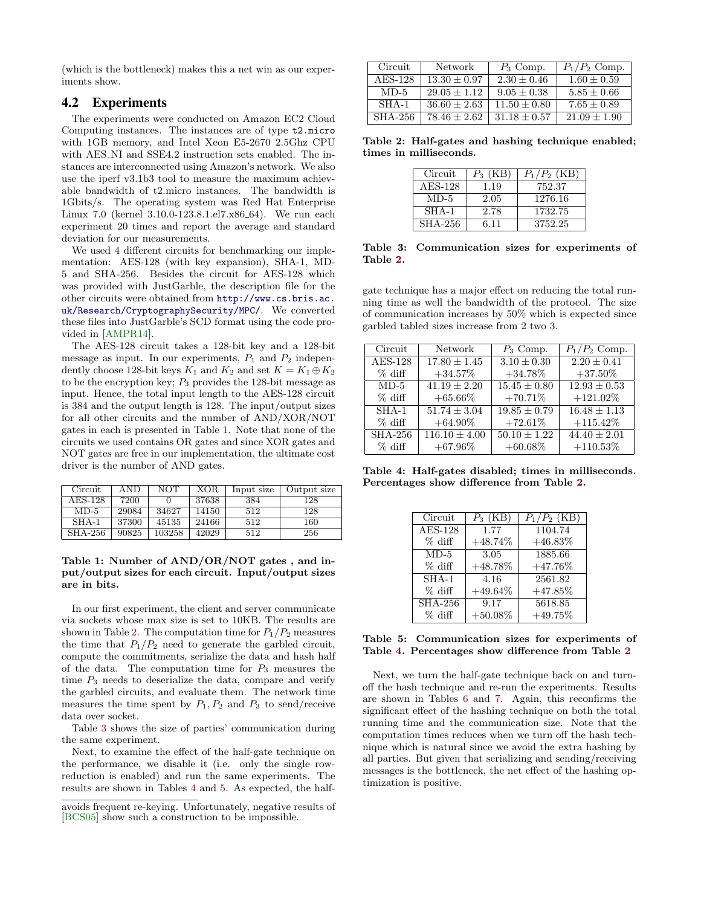(which is the bottleneck) makes this a net win as our experiments show.

# 4.2 Experiments

The experiments were conducted on Amazon EC2 Cloud Computing instances. The instances are of type t2.micro with 1GB memory, and Intel Xeon E5-2670 2.5Ghz CPU with AES\_NI and SSE4.2 instruction sets enabled. The instances are interconnected using Amazon's network. We also use the iperf v3.1b3 tool to measure the maximum achievable bandwidth of t2.micro instances. The bandwidth is 1Gbits/s. The operating system was Red Hat Enterprise Linux 7.0 (kernel 3.10.0-123.8.1.el7.x86 64). We run each experiment 20 times and report the average and standard deviation for our measurements.

We used 4 different circuits for benchmarking our implementation: AES-128 (with key expansion), SHA-1, MD-5 and SHA-256. Besides the circuit for AES-128 which was provided with JustGarble, the description file for the other circuits were obtained from [http://www.cs.bris.ac.](http://www.cs.bris.ac.uk/Research/CryptographySecurity/MPC/) [uk/Research/CryptographySecurity/MPC/](http://www.cs.bris.ac.uk/Research/CryptographySecurity/MPC/). We converted these files into JustGarble's SCD format using the code provided in [\[AMPR14\]](#page-9-8).

The AES-128 circuit takes a 128-bit key and a 128-bit message as input. In our experiments,  $P_1$  and  $P_2$  independently choose 128-bit keys  $K_1$  and  $K_2$  and set  $K = K_1 \oplus K_2$ to be the encryption key;  $P_3$  provides the 128-bit message as input. Hence, the total input length to the AES-128 circuit is 384 and the output length is 128. The input/output sizes for all other circuits and the number of AND/XOR/NOT gates in each is presented in Table [1.](#page-7-0) Note that none of the circuits we used contains OR gates and since XOR gates and NOT gates are free in our implementation, the ultimate cost driver is the number of AND gates.

| Circuit   | AND   | NOT    | XOR   | Input size | Output size |
|-----------|-------|--------|-------|------------|-------------|
| $AES-128$ | 7200  |        | 37638 | 384        | 128         |
| $MD-5$    | 29084 | 34627  | 14150 | 512        | 128         |
| $SHA-1$   | 37300 | 45135  | 24166 | 512        | 160         |
| SHA-256   | 90825 | 103258 | 42029 | 512        | 256         |

<span id="page-7-0"></span>Table 1: Number of AND/OR/NOT gates , and input/output sizes for each circuit. Input/output sizes are in bits.

In our first experiment, the client and server communicate via sockets whose max size is set to 10KB. The results are shown in Table [2.](#page-7-1) The computation time for  $P_1/P_2$  measures the time that  $P_1/P_2$  need to generate the garbled circuit, compute the commitments, serialize the data and hash half of the data. The computation time for  $P_3$  measures the time  $P_3$  needs to deserialize the data, compare and verify the garbled circuits, and evaluate them. The network time measures the time spent by  $P_1, P_2$  and  $P_3$  to send/receive data over socket.

Table [3](#page-7-2) shows the size of parties' communication during the same experiment.

Next, to examine the effect of the half-gate technique on the performance, we disable it (i.e. only the single rowreduction is enabled) and run the same experiments. The results are shown in Tables [4](#page-7-3) and [5.](#page-7-4) As expected, the half-

| Circuit | Network          | $P_3$ Comp.    | $P_1/P_2$ Comp. |
|---------|------------------|----------------|-----------------|
| AES-128 | $13.30 + 0.97$   | $2.30 + 0.46$  | $1.60 + 0.59$   |
| $MD-5$  | $29.05 + 1.12$   | $9.05 + 0.38$  | $5.85 + 0.66$   |
| $SHA-1$ | $36.60 + 2.63$   | $11.50 + 0.80$ | $7.65 + 0.89$   |
| SHA-256 | $78.46 \pm 2.62$ | $31.18 + 0.57$ | $21.09 + 1.90$  |

Table 2: Half-gates and hashing technique enabled; times in milliseconds.

<span id="page-7-1"></span>

| Circuit   | $P_3$ (KB) | $P_1/P_2$ (KB) |
|-----------|------------|----------------|
| $AES-128$ | 1.19       | 752.37         |
| $MD-5$    | 2.05       | 1276.16        |
| $SHA-1$   | 2.78       | 1732.75        |
| SHA-256   | 6.11       | 3752.25        |

<span id="page-7-2"></span>Table 3: Communication sizes for experiments of Table [2.](#page-7-1)

gate technique has a major effect on reducing the total running time as well the bandwidth of the protocol. The size of communication increases by 50% which is expected since garbled tabled sizes increase from 2 two 3.

| Circuit        | Network           | $P_3$ Comp.      | $P_1/P_2$ Comp.  |
|----------------|-------------------|------------------|------------------|
| <b>AES-128</b> | $17.80 \pm 1.45$  | $3.10 \pm 0.30$  | $2.20 \pm 0.41$  |
| $%$ diff       | $+34.57\%$        | $+34.78\%$       | $+37.50\%$       |
| $MD-5$         | $41.19 \pm 2.20$  | $15.45 \pm 0.80$ | $12.93 \pm 0.53$ |
| $%$ diff       | $+65.66\%$        | $+70.71%$        | $+121.02\%$      |
| $SHA-1$        | $51.74 \pm 3.04$  | $19.85 \pm 0.79$ | $16.48 \pm 1.13$ |
| $%$ diff       | $+64.90\%$        | $+72.61%$        | $+115.42\%$      |
| $SHA-256$      | $116.10 \pm 4.00$ | $50.10 \pm 1.22$ | $44.40 \pm 2.01$ |
| $%$ diff       | $+67.96\%$        | $+60.68\%$       | $+110.53\%$      |

Table 4: Half-gates disabled; times in milliseconds. Percentages show difference from Table [2.](#page-7-1)

<span id="page-7-3"></span>

| Circuit                      | $P_3$ (KB) | $P_1/P_2$ (KB) |
|------------------------------|------------|----------------|
| $\overline{\text{AES-1}}$ 28 | 1.77       | 1104.74        |
| $%$ diff                     | $+48.74\%$ | $+46.83\%$     |
| $MD-5$                       | 3.05       | 1885.66        |
| $%$ diff                     | $+48.78\%$ | $+47.76\%$     |
| $SHA-1$                      | 4.16       | 2561.82        |
| $%$ diff                     | $+49.64\%$ | $+47.85%$      |
| <b>SHA-256</b>               | 9.17       | 5618.85        |
| $%$ diff                     | $+50.08\%$ | $+49.75\%$     |

<span id="page-7-4"></span>Table 5: Communication sizes for experiments of Table [4.](#page-7-3) Percentages show difference from Table [2](#page-7-1)

Next, we turn the half-gate technique back on and turnoff the hash technique and re-run the experiments. Results are shown in Tables [6](#page-8-1) and [7.](#page-8-2) Again, this reconfirms the significant effect of the hashing technique on both the total running time and the communication size. Note that the computation times reduces when we turn off the hash technique which is natural since we avoid the extra hashing by all parties. But given that serializing and sending/receiving messages is the bottleneck, the net effect of the hashing optimization is positive.

avoids frequent re-keying. Unfortunately, negative results of [\[BCS05\]](#page-9-9) show such a construction to be impossible.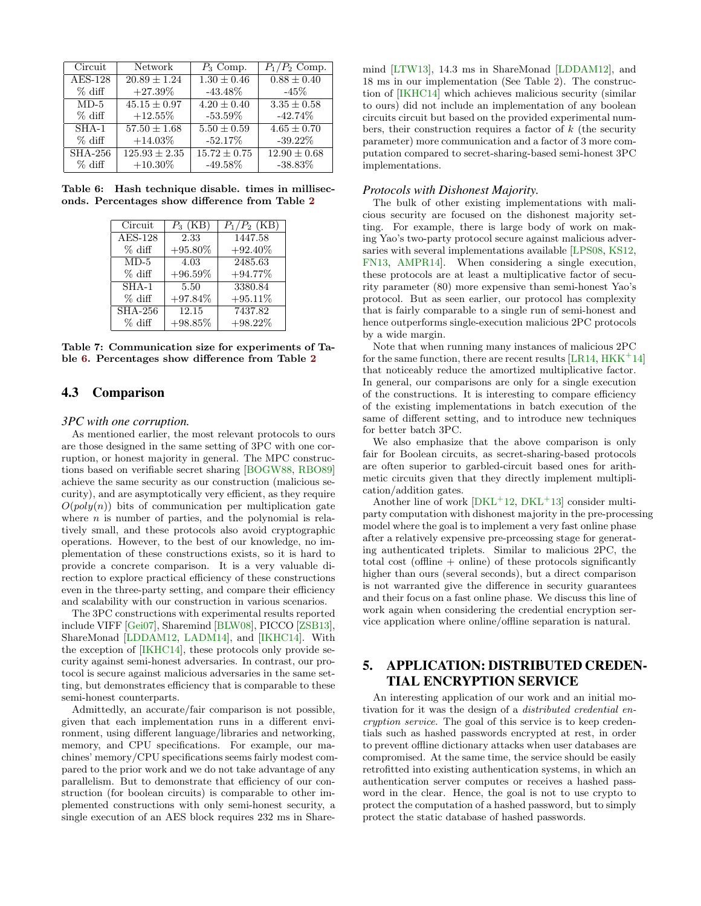| Circuit   | <b>Network</b>    | $P_3$ Comp.      | $P_1/P_2$ Comp.  |
|-----------|-------------------|------------------|------------------|
| AES-128   | $20.89 + 1.24$    | $1.30 \pm 0.46$  | $0.88 \pm 0.40$  |
| $%$ diff  | $+27.39\%$        | $-43.48\%$       | $-45%$           |
| $MD-5$    | $45.15 + 0.97$    | $4.20 \pm 0.40$  | $3.35 \pm 0.58$  |
| $%$ diff  | $+12.55\%$        | $-53.59\%$       | $-42.74\%$       |
| $SHA-1$   | $57.50 \pm 1.68$  | $5.50 \pm 0.59$  | $4.65 \pm 0.70$  |
| $%$ diff  | $+14.03\%$        | $-52.17\%$       | $-39.22\%$       |
| $SHA-256$ | $125.93 \pm 2.35$ | $15.72 \pm 0.75$ | $12.90 \pm 0.68$ |
| $%$ diff  | $+10.30\%$        | $-49.58\%$       | $-38.83\%$       |

Table 6: Hash technique disable. times in milliseconds. Percentages show difference from Table [2](#page-7-1)

<span id="page-8-1"></span>

| Circuit                     | $P_3$ (KB) | $P_1/P_2$ (KB) |
|-----------------------------|------------|----------------|
| $\overline{\text{AES-128}}$ | 2.33       | 1447.58        |
| $%$ diff                    | $+95.80\%$ | $+92.40\%$     |
| $MD-5$                      | 4.03       | 2485.63        |
| $%$ diff                    | $+96.59\%$ | $+94.77\%$     |
| $SHA-1$                     | 5.50       | 3380.84        |
| $%$ diff                    | $+97.84\%$ | $+95.11\%$     |
| <b>SHA-256</b>              | 12.15      | 7437.82        |
| $%$ diff                    | $+98.85%$  | $+98.22\%$     |

<span id="page-8-2"></span>Table 7: Communication size for experiments of Table [6.](#page-8-1) Percentages show difference from Table [2](#page-7-1)

# 4.3 Comparison

#### *3PC with one corruption.*

As mentioned earlier, the most relevant protocols to ours are those designed in the same setting of 3PC with one corruption, or honest majority in general. The MPC constructions based on verifiable secret sharing [\[BOGW88,](#page-9-5) [RBO89\]](#page-11-3) achieve the same security as our construction (malicious security), and are asymptotically very efficient, as they require  $O(poly(n))$  bits of communication per multiplication gate where  $n$  is number of parties, and the polynomial is relatively small, and these protocols also avoid cryptographic operations. However, to the best of our knowledge, no implementation of these constructions exists, so it is hard to provide a concrete comparison. It is a very valuable direction to explore practical efficiency of these constructions even in the three-party setting, and compare their efficiency and scalability with our construction in various scenarios.

The 3PC constructions with experimental results reported include VIFF [\[Gei07\]](#page-10-1), Sharemind [\[BLW08\]](#page-9-0), PICCO [\[ZSB13\]](#page-11-4), ShareMonad [\[LDDAM12,](#page-10-2) [LADM14\]](#page-10-3), and [\[IKHC14\]](#page-10-5). With the exception of [\[IKHC14\]](#page-10-5), these protocols only provide security against semi-honest adversaries. In contrast, our protocol is secure against malicious adversaries in the same setting, but demonstrates efficiency that is comparable to these semi-honest counterparts.

Admittedly, an accurate/fair comparison is not possible, given that each implementation runs in a different environment, using different language/libraries and networking, memory, and CPU specifications. For example, our machines' memory/CPU specifications seems fairly modest compared to the prior work and we do not take advantage of any parallelism. But to demonstrate that efficiency of our construction (for boolean circuits) is comparable to other implemented constructions with only semi-honest security, a single execution of an AES block requires 232 ms in Sharemind [\[LTW13\]](#page-11-8), 14.3 ms in ShareMonad [\[LDDAM12\]](#page-10-2), and 18 ms in our implementation (See Table [2\)](#page-7-1). The construction of [\[IKHC14\]](#page-10-5) which achieves malicious security (similar to ours) did not include an implementation of any boolean circuits circuit but based on the provided experimental numbers, their construction requires a factor of  $k$  (the security parameter) more communication and a factor of 3 more computation compared to secret-sharing-based semi-honest 3PC implementations.

#### *Protocols with Dishonest Majority.*

The bulk of other existing implementations with malicious security are focused on the dishonest majority setting. For example, there is large body of work on making Yao's two-party protocol secure against malicious adversaries with several implementations available [\[LPS08,](#page-10-13) [KS12,](#page-10-14) [FN13,](#page-10-15) [AMPR14\]](#page-9-8). When considering a single execution, these protocols are at least a multiplicative factor of security parameter (80) more expensive than semi-honest Yao's protocol. But as seen earlier, our protocol has complexity that is fairly comparable to a single run of semi-honest and hence outperforms single-execution malicious 2PC protocols by a wide margin.

Note that when running many instances of malicious 2PC for the same function, there are recent results  $[LR14, HKK^+14]$  $[LR14, HKK^+14]$  $[LR14, HKK^+14]$  $[LR14, HKK^+14]$ that noticeably reduce the amortized multiplicative factor. In general, our comparisons are only for a single execution of the constructions. It is interesting to compare efficiency of the existing implementations in batch execution of the same of different setting, and to introduce new techniques for better batch 3PC.

We also emphasize that the above comparison is only fair for Boolean circuits, as secret-sharing-based protocols are often superior to garbled-circuit based ones for arithmetic circuits given that they directly implement multiplication/addition gates.

Another line of work  $[DKL+12, DKL+13]$  $[DKL+12, DKL+13]$  $[DKL+12, DKL+13]$  $[DKL+12, DKL+13]$  consider multiparty computation with dishonest majority in the pre-processing model where the goal is to implement a very fast online phase after a relatively expensive pre-prceossing stage for generating authenticated triplets. Similar to malicious 2PC, the total cost (offline + online) of these protocols significantly higher than ours (several seconds), but a direct comparison is not warranted give the difference in security guarantees and their focus on a fast online phase. We discuss this line of work again when considering the credential encryption service application where online/offline separation is natural.

# <span id="page-8-0"></span>5. APPLICATION: DISTRIBUTED CREDEN-TIAL ENCRYPTION SERVICE

An interesting application of our work and an initial motivation for it was the design of a distributed credential encryption service. The goal of this service is to keep credentials such as hashed passwords encrypted at rest, in order to prevent offline dictionary attacks when user databases are compromised. At the same time, the service should be easily retrofitted into existing authentication systems, in which an authentication server computes or receives a hashed password in the clear. Hence, the goal is not to use crypto to protect the computation of a hashed password, but to simply protect the static database of hashed passwords.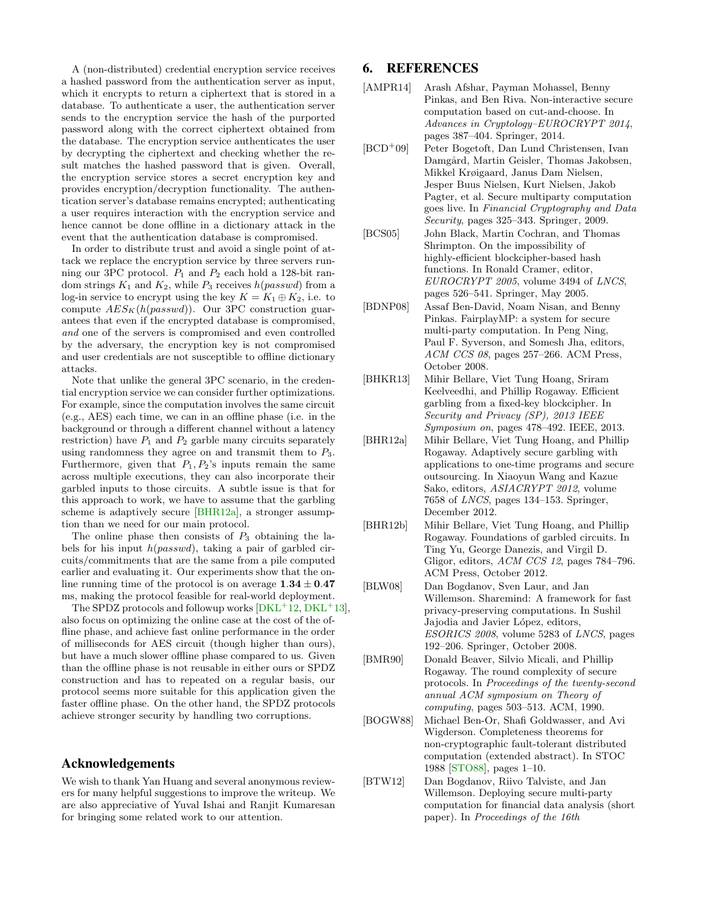A (non-distributed) credential encryption service receives a hashed password from the authentication server as input, which it encrypts to return a ciphertext that is stored in a database. To authenticate a user, the authentication server sends to the encryption service the hash of the purported password along with the correct ciphertext obtained from the database. The encryption service authenticates the user by decrypting the ciphertext and checking whether the result matches the hashed password that is given. Overall, the encryption service stores a secret encryption key and provides encryption/decryption functionality. The authentication server's database remains encrypted; authenticating a user requires interaction with the encryption service and hence cannot be done offline in a dictionary attack in the event that the authentication database is compromised.

In order to distribute trust and avoid a single point of attack we replace the encryption service by three servers running our 3PC protocol.  $P_1$  and  $P_2$  each hold a 128-bit random strings  $K_1$  and  $K_2$ , while  $P_3$  receives  $h(passwd)$  from a log-in service to encrypt using the key  $K = K_1 \oplus K_2$ , i.e. to compute  $AES_K(h(passwd))$ . Our 3PC construction guarantees that even if the encrypted database is compromised, and one of the servers is compromised and even controlled by the adversary, the encryption key is not compromised and user credentials are not susceptible to offline dictionary attacks.

Note that unlike the general 3PC scenario, in the credential encryption service we can consider further optimizations. For example, since the computation involves the same circuit (e.g., AES) each time, we can in an offline phase (i.e. in the background or through a different channel without a latency restriction) have  $P_1$  and  $P_2$  garble many circuits separately using randomness they agree on and transmit them to  $P_3$ . Furthermore, given that  $P_1, P_2$ 's inputs remain the same across multiple executions, they can also incorporate their garbled inputs to those circuits. A subtle issue is that for this approach to work, we have to assume that the garbling scheme is adaptively secure [\[BHR12a\]](#page-9-10), a stronger assumption than we need for our main protocol.

The online phase then consists of  $P_3$  obtaining the labels for his input  $h(passwd)$ , taking a pair of garbled circuits/commitments that are the same from a pile computed earlier and evaluating it. Our experiments show that the online running time of the protocol is on average  $1.34 \pm 0.47$ ms, making the protocol feasible for real-world deployment.

The SPDZ protocols and followup works  $[DKL+12, DKL+13],$  $[DKL+12, DKL+13],$  $[DKL+12, DKL+13],$  $[DKL+12, DKL+13],$ also focus on optimizing the online case at the cost of the offline phase, and achieve fast online performance in the order of milliseconds for AES circuit (though higher than ours), but have a much slower offline phase compared to us. Given than the offline phase is not reusable in either ours or SPDZ construction and has to repeated on a regular basis, our protocol seems more suitable for this application given the faster offline phase. On the other hand, the SPDZ protocols achieve stronger security by handling two corruptions.

# Acknowledgements

We wish to thank Yan Huang and several anonymous reviewers for many helpful suggestions to improve the writeup. We are also appreciative of Yuval Ishai and Ranjit Kumaresan for bringing some related work to our attention.

# 6. REFERENCES

- <span id="page-9-8"></span>[AMPR14] Arash Afshar, Payman Mohassel, Benny Pinkas, and Ben Riva. Non-interactive secure computation based on cut-and-choose. In Advances in Cryptology–EUROCRYPT 2014, pages 387–404. Springer, 2014.
- <span id="page-9-2"></span>[BCD<sup>+</sup>09] Peter Bogetoft, Dan Lund Christensen, Ivan Damgård, Martin Geisler, Thomas Jakobsen, Mikkel Krøigaard, Janus Dam Nielsen, Jesper Buus Nielsen, Kurt Nielsen, Jakob Pagter, et al. Secure multiparty computation goes live. In Financial Cryptography and Data Security, pages 325–343. Springer, 2009.
- <span id="page-9-9"></span>[BCS05] John Black, Martin Cochran, and Thomas Shrimpton. On the impossibility of highly-efficient blockcipher-based hash functions. In Ronald Cramer, editor, EUROCRYPT 2005, volume 3494 of LNCS, pages 526–541. Springer, May 2005.
- <span id="page-9-7"></span>[BDNP08] Assaf Ben-David, Noam Nisan, and Benny Pinkas. FairplayMP: a system for secure multi-party computation. In Peng Ning, Paul F. Syverson, and Somesh Jha, editors, ACM CCS 08, pages 257–266. ACM Press, October 2008.
- <span id="page-9-4"></span>[BHKR13] Mihir Bellare, Viet Tung Hoang, Sriram Keelveedhi, and Phillip Rogaway. Efficient garbling from a fixed-key blockcipher. In Security and Privacy (SP), 2013 IEEE Symposium on, pages 478–492. IEEE, 2013.
- <span id="page-9-10"></span>[BHR12a] Mihir Bellare, Viet Tung Hoang, and Phillip Rogaway. Adaptively secure garbling with applications to one-time programs and secure outsourcing. In Xiaoyun Wang and Kazue Sako, editors, ASIACRYPT 2012, volume 7658 of LNCS, pages 134–153. Springer, December 2012.
- <span id="page-9-3"></span>[BHR12b] Mihir Bellare, Viet Tung Hoang, and Phillip Rogaway. Foundations of garbled circuits. In Ting Yu, George Danezis, and Virgil D. Gligor, editors, ACM CCS 12, pages 784–796. ACM Press, October 2012.
- <span id="page-9-0"></span>[BLW08] Dan Bogdanov, Sven Laur, and Jan Willemson. Sharemind: A framework for fast privacy-preserving computations. In Sushil Jajodia and Javier López, editors, ESORICS 2008, volume 5283 of LNCS, pages 192–206. Springer, October 2008.
- <span id="page-9-6"></span>[BMR90] Donald Beaver, Silvio Micali, and Phillip Rogaway. The round complexity of secure protocols. In Proceedings of the twenty-second annual ACM symposium on Theory of computing, pages 503–513. ACM, 1990.
- <span id="page-9-5"></span>[BOGW88] Michael Ben-Or, Shafi Goldwasser, and Avi Wigderson. Completeness theorems for non-cryptographic fault-tolerant distributed computation (extended abstract). In STOC 1988 [\[STO88\]](#page-11-10), pages 1–10.
- <span id="page-9-1"></span>[BTW12] Dan Bogdanov, Riivo Talviste, and Jan Willemson. Deploying secure multi-party computation for financial data analysis (short paper). In Proceedings of the 16th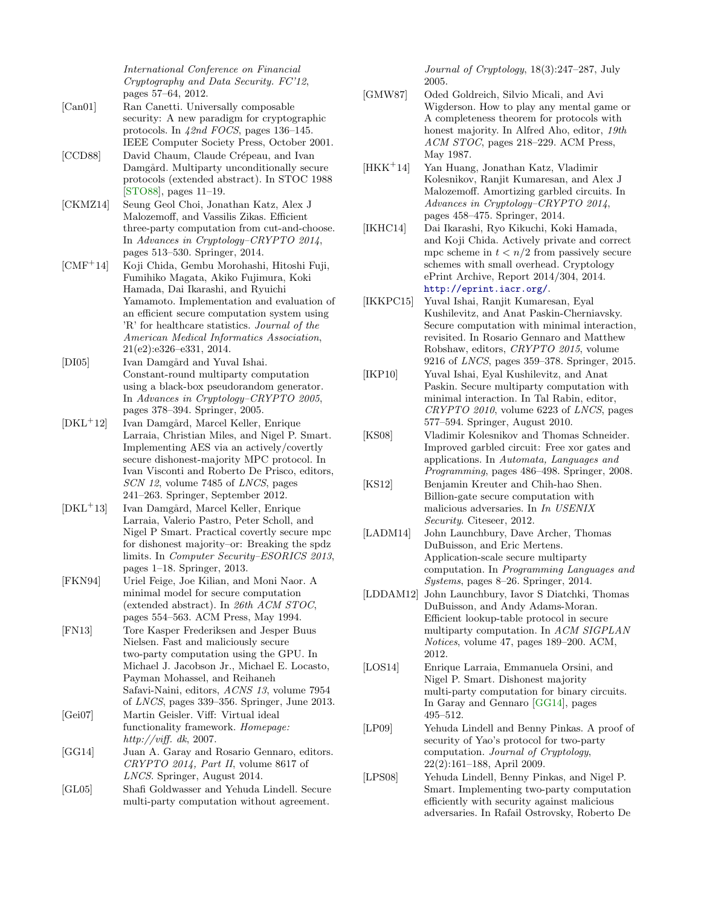International Conference on Financial Cryptography and Data Security. FC'12, pages 57–64, 2012.

- <span id="page-10-19"></span>[Can01] Ran Canetti. Universally composable security: A new paradigm for cryptographic protocols. In 42nd FOCS, pages 136–145. IEEE Computer Society Press, October 2001.
- <span id="page-10-7"></span>[CCD88] David Chaum, Claude Crépeau, and Ivan Damgård. Multiparty unconditionally secure protocols (extended abstract). In STOC 1988 [\[STO88\]](#page-11-10), pages 11–19.
- <span id="page-10-8"></span>[CKMZ14] Seung Geol Choi, Jonathan Katz, Alex J Malozemoff, and Vassilis Zikas. Efficient three-party computation from cut-and-choose. In Advances in Cryptology–CRYPTO 2014, pages 513–530. Springer, 2014.
- <span id="page-10-4"></span>[CMF<sup>+</sup>14] Koji Chida, Gembu Morohashi, Hitoshi Fuji, Fumihiko Magata, Akiko Fujimura, Koki Hamada, Dai Ikarashi, and Ryuichi Yamamoto. Implementation and evaluation of an efficient secure computation system using 'R' for healthcare statistics. Journal of the American Medical Informatics Association, 21(e2):e326–e331, 2014.
- <span id="page-10-9"></span>[DI05] Ivan Damgård and Yuval Ishai. Constant-round multiparty computation using a black-box pseudorandom generator. In Advances in Cryptology–CRYPTO 2005, pages 378–394. Springer, 2005.
- <span id="page-10-17"></span>[DKL<sup>+</sup>12] Ivan Damgård, Marcel Keller, Enrique Larraia, Christian Miles, and Nigel P. Smart. Implementing AES via an actively/covertly secure dishonest-majority MPC protocol. In Ivan Visconti and Roberto De Prisco, editors, SCN 12, volume 7485 of LNCS, pages 241–263. Springer, September 2012.
- <span id="page-10-18"></span>[DKL<sup>+</sup>13] Ivan Damgård, Marcel Keller, Enrique Larraia, Valerio Pastro, Peter Scholl, and Nigel P Smart. Practical covertly secure mpc for dishonest majority–or: Breaking the spdz limits. In Computer Security–ESORICS 2013, pages 1–18. Springer, 2013.
- <span id="page-10-12"></span>[FKN94] Uriel Feige, Joe Kilian, and Moni Naor. A minimal model for secure computation (extended abstract). In 26th ACM STOC, pages 554–563. ACM Press, May 1994.
- <span id="page-10-15"></span>[FN13] Tore Kasper Frederiksen and Jesper Buus Nielsen. Fast and maliciously secure two-party computation using the GPU. In Michael J. Jacobson Jr., Michael E. Locasto, Payman Mohassel, and Reihaneh Safavi-Naini, editors, ACNS 13, volume 7954 of LNCS, pages 339–356. Springer, June 2013.
- <span id="page-10-1"></span>[Gei07] Martin Geisler. Viff: Virtual ideal functionality framework. Homepage: http://viff. dk, 2007.
- <span id="page-10-23"></span>[GG14] Juan A. Garay and Rosario Gennaro, editors. CRYPTO 2014, Part II, volume 8617 of LNCS. Springer, August 2014.
- <span id="page-10-20"></span>[GL05] Shafi Goldwasser and Yehuda Lindell. Secure multi-party computation without agreement.

Journal of Cryptology, 18(3):247–287, July 2005.

- <span id="page-10-0"></span>[GMW87] Oded Goldreich, Silvio Micali, and Avi Wigderson. How to play any mental game or A completeness theorem for protocols with honest majority. In Alfred Aho, editor, 19th ACM STOC, pages 218–229. ACM Press, May 1987.
- <span id="page-10-22"></span>[HKK<sup>+</sup>14] Yan Huang, Jonathan Katz, Vladimir Kolesnikov, Ranjit Kumaresan, and Alex J Malozemoff. Amortizing garbled circuits. In Advances in Cryptology–CRYPTO 2014, pages 458–475. Springer, 2014.
- <span id="page-10-5"></span>[IKHC14] Dai Ikarashi, Ryo Kikuchi, Koki Hamada, and Koji Chida. Actively private and correct mpc scheme in  $t < n/2$  from passively secure schemes with small overhead. Cryptology ePrint Archive, Report 2014/304, 2014. <http://eprint.iacr.org/>.
- <span id="page-10-11"></span>[IKKPC15] Yuval Ishai, Ranjit Kumaresan, Eyal Kushilevitz, and Anat Paskin-Cherniavsky. Secure computation with minimal interaction, revisited. In Rosario Gennaro and Matthew Robshaw, editors, CRYPTO 2015, volume 9216 of LNCS, pages 359–378. Springer, 2015.
- <span id="page-10-10"></span>[IKP10] Yuval Ishai, Eyal Kushilevitz, and Anat Paskin. Secure multiparty computation with minimal interaction. In Tal Rabin, editor, CRYPTO 2010, volume 6223 of LNCS, pages 577–594. Springer, August 2010.
- <span id="page-10-21"></span>[KS08] Vladimir Kolesnikov and Thomas Schneider. Improved garbled circuit: Free xor gates and applications. In Automata, Languages and Programming, pages 486–498. Springer, 2008.
- <span id="page-10-14"></span>[KS12] Benjamin Kreuter and Chih-hao Shen. Billion-gate secure computation with malicious adversaries. In In USENIX Security. Citeseer, 2012.
- <span id="page-10-3"></span>[LADM14] John Launchbury, Dave Archer, Thomas DuBuisson, and Eric Mertens. Application-scale secure multiparty computation. In Programming Languages and Systems, pages 8–26. Springer, 2014.
- <span id="page-10-2"></span>[LDDAM12] John Launchbury, Iavor S Diatchki, Thomas DuBuisson, and Andy Adams-Moran. Efficient lookup-table protocol in secure multiparty computation. In ACM SIGPLAN Notices, volume 47, pages 189–200. ACM, 2012.
- <span id="page-10-16"></span>[LOS14] Enrique Larraia, Emmanuela Orsini, and Nigel P. Smart. Dishonest majority multi-party computation for binary circuits. In Garay and Gennaro [\[GG14\]](#page-10-23), pages 495–512.
- <span id="page-10-6"></span>[LP09] Yehuda Lindell and Benny Pinkas. A proof of security of Yao's protocol for two-party computation. Journal of Cryptology, 22(2):161–188, April 2009.
- <span id="page-10-13"></span>[LPS08] Yehuda Lindell, Benny Pinkas, and Nigel P. Smart. Implementing two-party computation efficiently with security against malicious adversaries. In Rafail Ostrovsky, Roberto De